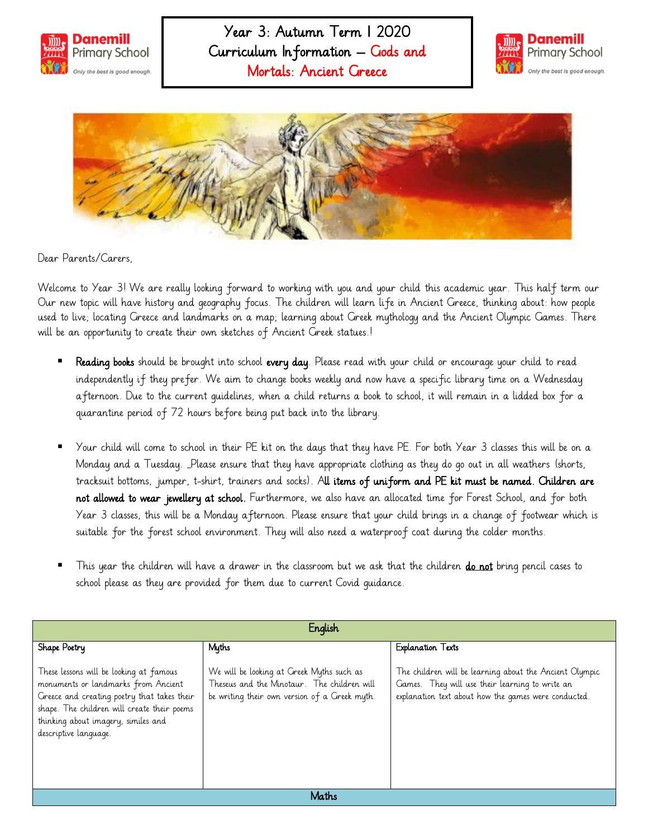





Dear Parents/Carers,

Welcome to Year 3! We are really looking forward to working with you and your child this academic year. This half term our Our new topic will have history and geography focus. The children will learn life in Ancient Greece, thinking about: how people used to live; locating Greece and landmarks on a map; learning about Greek mythology and the Ancient Olympic Games. There will be an opportunity to create their own sketches of Ancient Greek statues.!

- Reading books should be brought into school every day. Please read with your child or encourage your child to read independently if they prefer. We aim to change books weekly and now have a specific library time on a Wednesday afternoon. Due to the current guidelines, when a child returns a book to school, it will remain in a lidded box for a quarantine period of 72 hours before being put back into the library.
- Your child will come to school in their PE kit on the days that they have PE. For both Year 3 classes this will be on a Monday and a Tuesday. Please ensure that they have appropriate clothing as they do go out in all weathers (shorts, tracksuit bottoms, jumper, t-shirt, trainers and socks). All items of uniform and PE kit must be named. Children are not allowed to wear jewellery at school. Furthermore, we also have an allocated time for Forest School, and for both Year 3 classes, this will be a Monday afternoon. Please ensure that your child brings in a change of footwear which is suitable for the forest school environment. They will also need a waterproof coat during the colder months.
- This year the children will have a drawer in the classroom but we ask that the children do not bring pencil cases to school please as they are provided for them due to current Covid guidance.

| English                                                                                                                                                                                                                                      |                                                                                                                                           |                                                                                                                                                                    |
|----------------------------------------------------------------------------------------------------------------------------------------------------------------------------------------------------------------------------------------------|-------------------------------------------------------------------------------------------------------------------------------------------|--------------------------------------------------------------------------------------------------------------------------------------------------------------------|
| Shape Poetry                                                                                                                                                                                                                                 | Myths                                                                                                                                     | <b>Explanation Texts</b>                                                                                                                                           |
| These lessons will be looking at famous<br>monuments or landmarks from Ancient<br>Greece and creating poetry that takes their<br>shape. The children will create their poems<br>thinking about imagery, similes and<br>descriptive language. | We will be looking at Greek Myths such as<br>Theseus and the Minotaur. The children will<br>be writing their own version of a Greek myth. | The children will be learning about the Ancient Olympic<br>Games. They will use their learning to write an<br>explanation text about how the games were conducted. |
| Maths                                                                                                                                                                                                                                        |                                                                                                                                           |                                                                                                                                                                    |